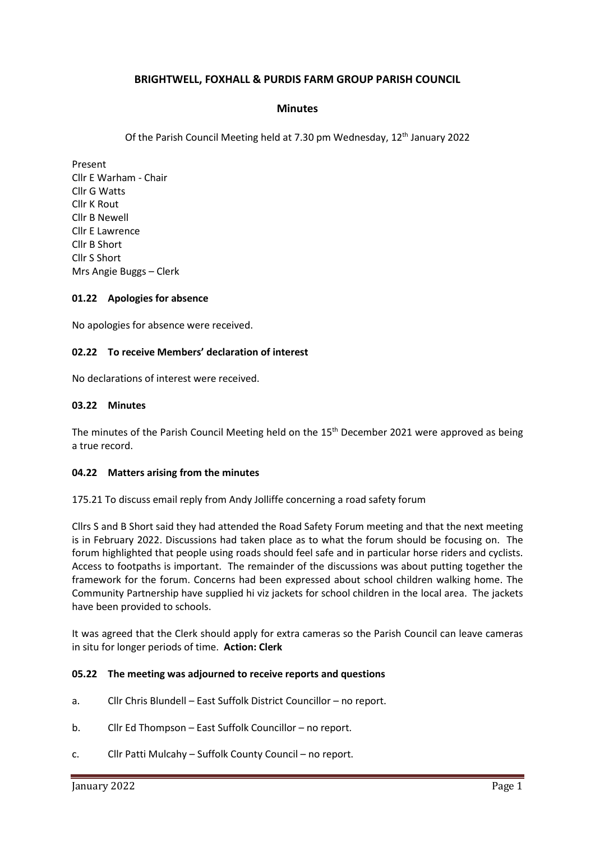# **BRIGHTWELL, FOXHALL & PURDIS FARM GROUP PARISH COUNCIL**

## **Minutes**

Of the Parish Council Meeting held at 7.30 pm Wednesday, 12<sup>th</sup> January 2022

Present Cllr E Warham - Chair Cllr G Watts Cllr K Rout Cllr B Newell Cllr E Lawrence Cllr B Short Cllr S Short Mrs Angie Buggs – Clerk

### **01.22 Apologies for absence**

No apologies for absence were received.

## **02.22 To receive Members' declaration of interest**

No declarations of interest were received.

### **03.22 Minutes**

The minutes of the Parish Council Meeting held on the 15<sup>th</sup> December 2021 were approved as being a true record.

### **04.22 Matters arising from the minutes**

175.21 To discuss email reply from Andy Jolliffe concerning a road safety forum

Cllrs S and B Short said they had attended the Road Safety Forum meeting and that the next meeting is in February 2022. Discussions had taken place as to what the forum should be focusing on. The forum highlighted that people using roads should feel safe and in particular horse riders and cyclists. Access to footpaths is important. The remainder of the discussions was about putting together the framework for the forum. Concerns had been expressed about school children walking home. The Community Partnership have supplied hi viz jackets for school children in the local area. The jackets have been provided to schools.

It was agreed that the Clerk should apply for extra cameras so the Parish Council can leave cameras in situ for longer periods of time. **Action: Clerk**

### **05.22 The meeting was adjourned to receive reports and questions**

- a. Cllr Chris Blundell East Suffolk District Councillor no report.
- b. Cllr Ed Thompson East Suffolk Councillor no report.
- c. Cllr Patti Mulcahy Suffolk County Council no report.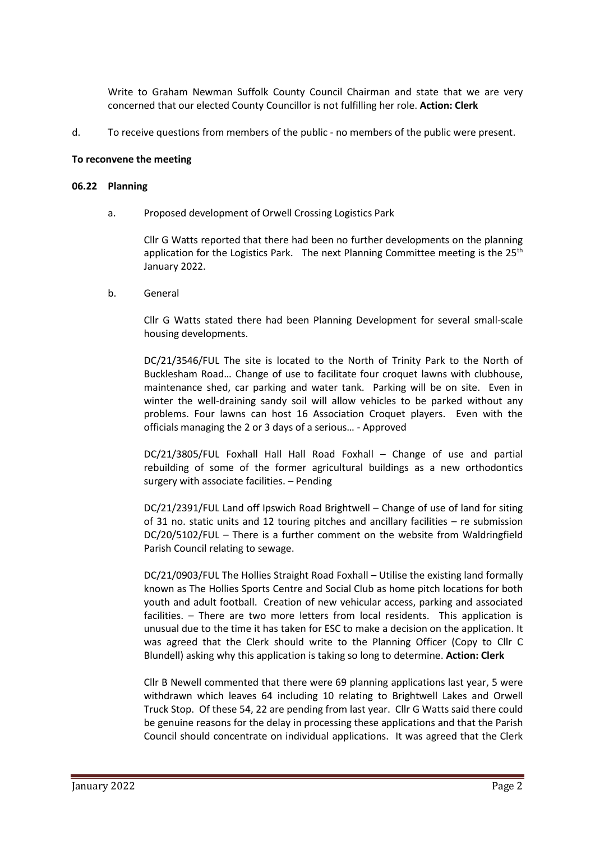Write to Graham Newman Suffolk County Council Chairman and state that we are very concerned that our elected County Councillor is not fulfilling her role. **Action: Clerk**

d. To receive questions from members of the public - no members of the public were present.

#### **To reconvene the meeting**

#### **06.22 Planning**

a. Proposed development of Orwell Crossing Logistics Park

Cllr G Watts reported that there had been no further developments on the planning application for the Logistics Park. The next Planning Committee meeting is the  $25<sup>th</sup>$ January 2022.

b. General

Cllr G Watts stated there had been Planning Development for several small-scale housing developments.

DC/21/3546/FUL The site is located to the North of Trinity Park to the North of Bucklesham Road… Change of use to facilitate four croquet lawns with clubhouse, maintenance shed, car parking and water tank. Parking will be on site. Even in winter the well-draining sandy soil will allow vehicles to be parked without any problems. Four lawns can host 16 Association Croquet players. Even with the officials managing the 2 or 3 days of a serious… - Approved

DC/21/3805/FUL Foxhall Hall Hall Road Foxhall – Change of use and partial rebuilding of some of the former agricultural buildings as a new orthodontics surgery with associate facilities. – Pending

DC/21/2391/FUL Land off Ipswich Road Brightwell – Change of use of land for siting of 31 no. static units and 12 touring pitches and ancillary facilities – re submission DC/20/5102/FUL – There is a further comment on the website from Waldringfield Parish Council relating to sewage.

DC/21/0903/FUL The Hollies Straight Road Foxhall – Utilise the existing land formally known as The Hollies Sports Centre and Social Club as home pitch locations for both youth and adult football. Creation of new vehicular access, parking and associated facilities. – There are two more letters from local residents. This application is unusual due to the time it has taken for ESC to make a decision on the application. It was agreed that the Clerk should write to the Planning Officer (Copy to Cllr C Blundell) asking why this application is taking so long to determine. **Action: Clerk**

Cllr B Newell commented that there were 69 planning applications last year, 5 were withdrawn which leaves 64 including 10 relating to Brightwell Lakes and Orwell Truck Stop. Of these 54, 22 are pending from last year. Cllr G Watts said there could be genuine reasons for the delay in processing these applications and that the Parish Council should concentrate on individual applications. It was agreed that the Clerk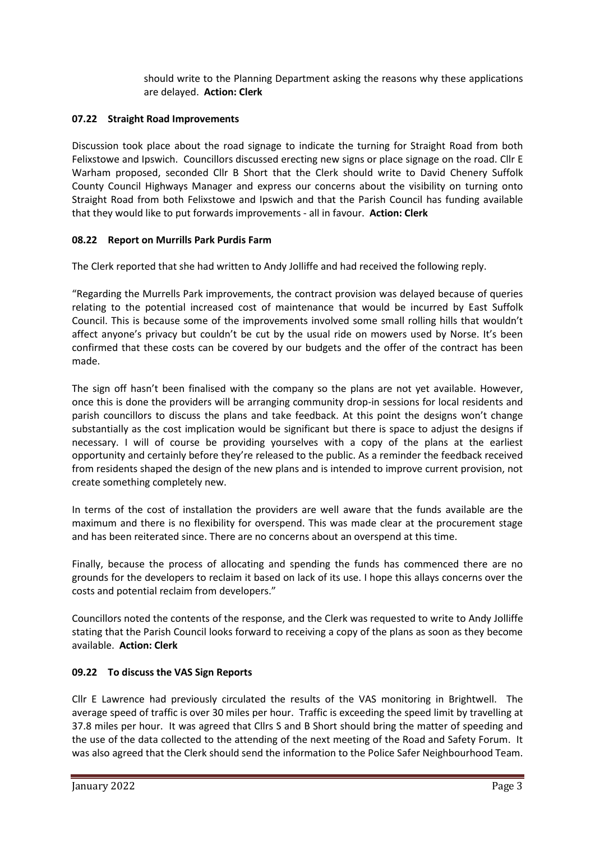should write to the Planning Department asking the reasons why these applications are delayed. **Action: Clerk**

# **07.22 Straight Road Improvements**

Discussion took place about the road signage to indicate the turning for Straight Road from both Felixstowe and Ipswich. Councillors discussed erecting new signs or place signage on the road. Cllr E Warham proposed, seconded Cllr B Short that the Clerk should write to David Chenery Suffolk County Council Highways Manager and express our concerns about the visibility on turning onto Straight Road from both Felixstowe and Ipswich and that the Parish Council has funding available that they would like to put forwards improvements - all in favour. **Action: Clerk**

# **08.22 Report on Murrills Park Purdis Farm**

The Clerk reported that she had written to Andy Jolliffe and had received the following reply.

"Regarding the Murrells Park improvements, the contract provision was delayed because of queries relating to the potential increased cost of maintenance that would be incurred by East Suffolk Council. This is because some of the improvements involved some small rolling hills that wouldn't affect anyone's privacy but couldn't be cut by the usual ride on mowers used by Norse. It's been confirmed that these costs can be covered by our budgets and the offer of the contract has been made.

The sign off hasn't been finalised with the company so the plans are not yet available. However, once this is done the providers will be arranging community drop-in sessions for local residents and parish councillors to discuss the plans and take feedback. At this point the designs won't change substantially as the cost implication would be significant but there is space to adjust the designs if necessary. I will of course be providing yourselves with a copy of the plans at the earliest opportunity and certainly before they're released to the public. As a reminder the feedback received from residents shaped the design of the new plans and is intended to improve current provision, not create something completely new.

In terms of the cost of installation the providers are well aware that the funds available are the maximum and there is no flexibility for overspend. This was made clear at the procurement stage and has been reiterated since. There are no concerns about an overspend at this time.

Finally, because the process of allocating and spending the funds has commenced there are no grounds for the developers to reclaim it based on lack of its use. I hope this allays concerns over the costs and potential reclaim from developers."

Councillors noted the contents of the response, and the Clerk was requested to write to Andy Jolliffe stating that the Parish Council looks forward to receiving a copy of the plans as soon as they become available. **Action: Clerk**

# **09.22 To discuss the VAS Sign Reports**

Cllr E Lawrence had previously circulated the results of the VAS monitoring in Brightwell. The average speed of traffic is over 30 miles per hour. Traffic is exceeding the speed limit by travelling at 37.8 miles per hour. It was agreed that Cllrs S and B Short should bring the matter of speeding and the use of the data collected to the attending of the next meeting of the Road and Safety Forum. It was also agreed that the Clerk should send the information to the Police Safer Neighbourhood Team.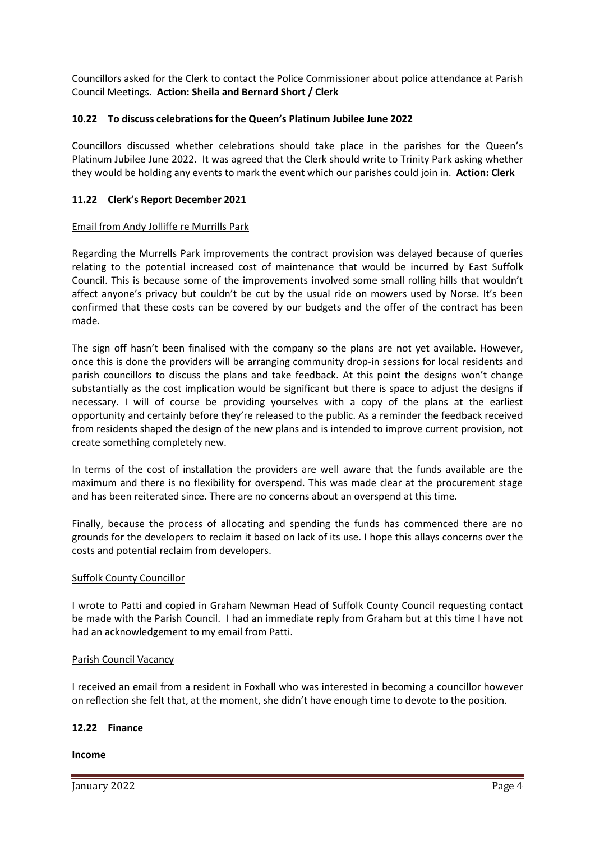Councillors asked for the Clerk to contact the Police Commissioner about police attendance at Parish Council Meetings. **Action: Sheila and Bernard Short / Clerk**

# **10.22 To discuss celebrations for the Queen's Platinum Jubilee June 2022**

Councillors discussed whether celebrations should take place in the parishes for the Queen's Platinum Jubilee June 2022. It was agreed that the Clerk should write to Trinity Park asking whether they would be holding any events to mark the event which our parishes could join in. **Action: Clerk**

## **11.22 Clerk's Report December 2021**

### Email from Andy Jolliffe re Murrills Park

Regarding the Murrells Park improvements the contract provision was delayed because of queries relating to the potential increased cost of maintenance that would be incurred by East Suffolk Council. This is because some of the improvements involved some small rolling hills that wouldn't affect anyone's privacy but couldn't be cut by the usual ride on mowers used by Norse. It's been confirmed that these costs can be covered by our budgets and the offer of the contract has been made.

The sign off hasn't been finalised with the company so the plans are not yet available. However, once this is done the providers will be arranging community drop-in sessions for local residents and parish councillors to discuss the plans and take feedback. At this point the designs won't change substantially as the cost implication would be significant but there is space to adjust the designs if necessary. I will of course be providing yourselves with a copy of the plans at the earliest opportunity and certainly before they're released to the public. As a reminder the feedback received from residents shaped the design of the new plans and is intended to improve current provision, not create something completely new.

In terms of the cost of installation the providers are well aware that the funds available are the maximum and there is no flexibility for overspend. This was made clear at the procurement stage and has been reiterated since. There are no concerns about an overspend at this time.

Finally, because the process of allocating and spending the funds has commenced there are no grounds for the developers to reclaim it based on lack of its use. I hope this allays concerns over the costs and potential reclaim from developers.

### Suffolk County Councillor

I wrote to Patti and copied in Graham Newman Head of Suffolk County Council requesting contact be made with the Parish Council. I had an immediate reply from Graham but at this time I have not had an acknowledgement to my email from Patti.

### Parish Council Vacancy

I received an email from a resident in Foxhall who was interested in becoming a councillor however on reflection she felt that, at the moment, she didn't have enough time to devote to the position.

### **12.22 Finance**

### **Income**